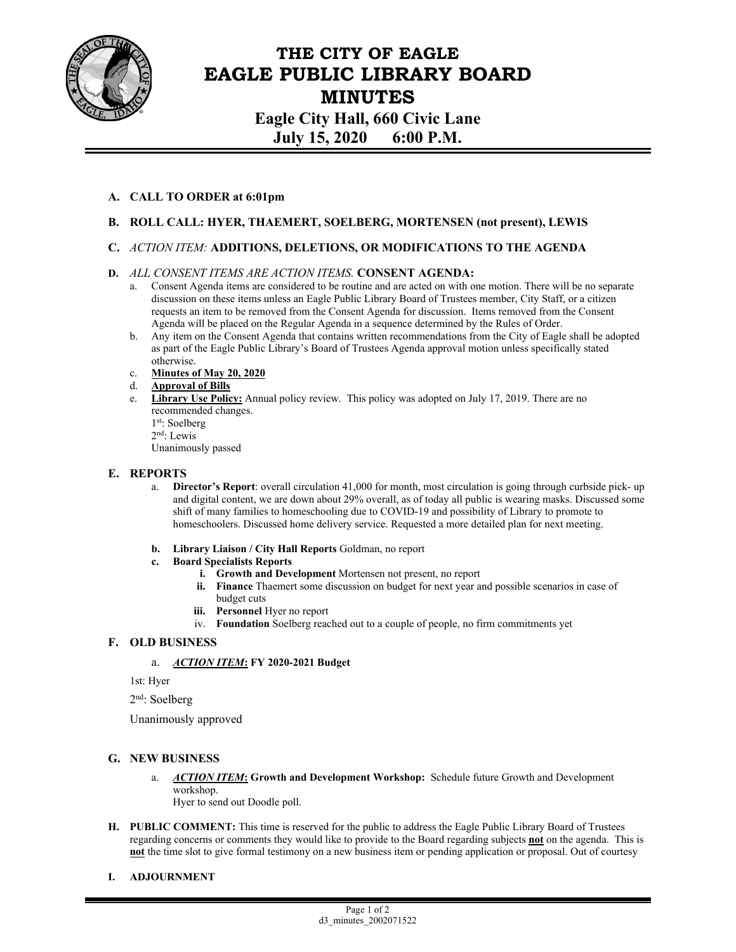

# **THE CITY OF EAGLE EAGLE PUBLIC LIBRARY BOARD MINUTES Eagle City Hall, 660 Civic Lane July 15, 2020 6:00 P.M.**

# **A. CALL TO ORDER at 6:01pm**

## **B. ROLL CALL: HYER, THAEMERT, SOELBERG, MORTENSEN (not present), LEWIS**

### **C.** *ACTION ITEM:* **ADDITIONS, DELETIONS, OR MODIFICATIONS TO THE AGENDA**

#### **D.** *ALL CONSENT ITEMS ARE ACTION ITEMS.* **CONSENT AGENDA:**

- a. Consent Agenda items are considered to be routine and are acted on with one motion. There will be no separate discussion on these items unless an Eagle Public Library Board of Trustees member, City Staff, or a citizen requests an item to be removed from the Consent Agenda for discussion. Items removed from the Consent Agenda will be placed on the Regular Agenda in a sequence determined by the Rules of Order.
- b. Any item on the Consent Agenda that contains written recommendations from the City of Eagle shall be adopted as part of the Eagle Public Library's Board of Trustees Agenda approval motion unless specifically stated otherwise.
- c. **Minutes of May 20, 2020**
- d. **Approval of Bills**
- e. **Library Use Policy:** Annual policy review. This policy was adopted on July 17, 2019. There are no recommended changes. 1st: Soelberg 2nd: Lewis Unanimously passed

#### **E. REPORTS**

- a. **Director's Report**: overall circulation 41,000 for month, most circulation is going through curbside pick- up and digital content, we are down about 29% overall, as of today all public is wearing masks. Discussed some shift of many families to homeschooling due to COVID-19 and possibility of Library to promote to homeschoolers. Discussed home delivery service. Requested a more detailed plan for next meeting.
- **b. Library Liaison / City Hall Reports** Goldman, no report

#### **c. Board Specialists Reports**

- **i. Growth and Development** Mortensen not present, no report
- **ii. Finance** Thaemert some discussion on budget for next year and possible scenarios in case of budget cuts
- **iii.** Personnel Hyer no report
- iv. **Foundation** Soelberg reached out to a couple of people, no firm commitments yet

#### **F. OLD BUSINESS**

#### a. *ACTION ITEM***: FY 2020-2021 Budget**

1st: Hyer

2nd: Soelberg

Unanimously approved

#### **G. NEW BUSINESS**

a. *ACTION ITEM***: Growth and Development Workshop:** Schedule future Growth and Development workshop.

Hyer to send out Doodle poll.

**H. PUBLIC COMMENT:** This time is reserved for the public to address the Eagle Public Library Board of Trustees regarding concerns or comments they would like to provide to the Board regarding subjects **not** on the agenda. This is **not** the time slot to give formal testimony on a new business item or pending application or proposal. Out of courtesy

#### **I. ADJOURNMENT**